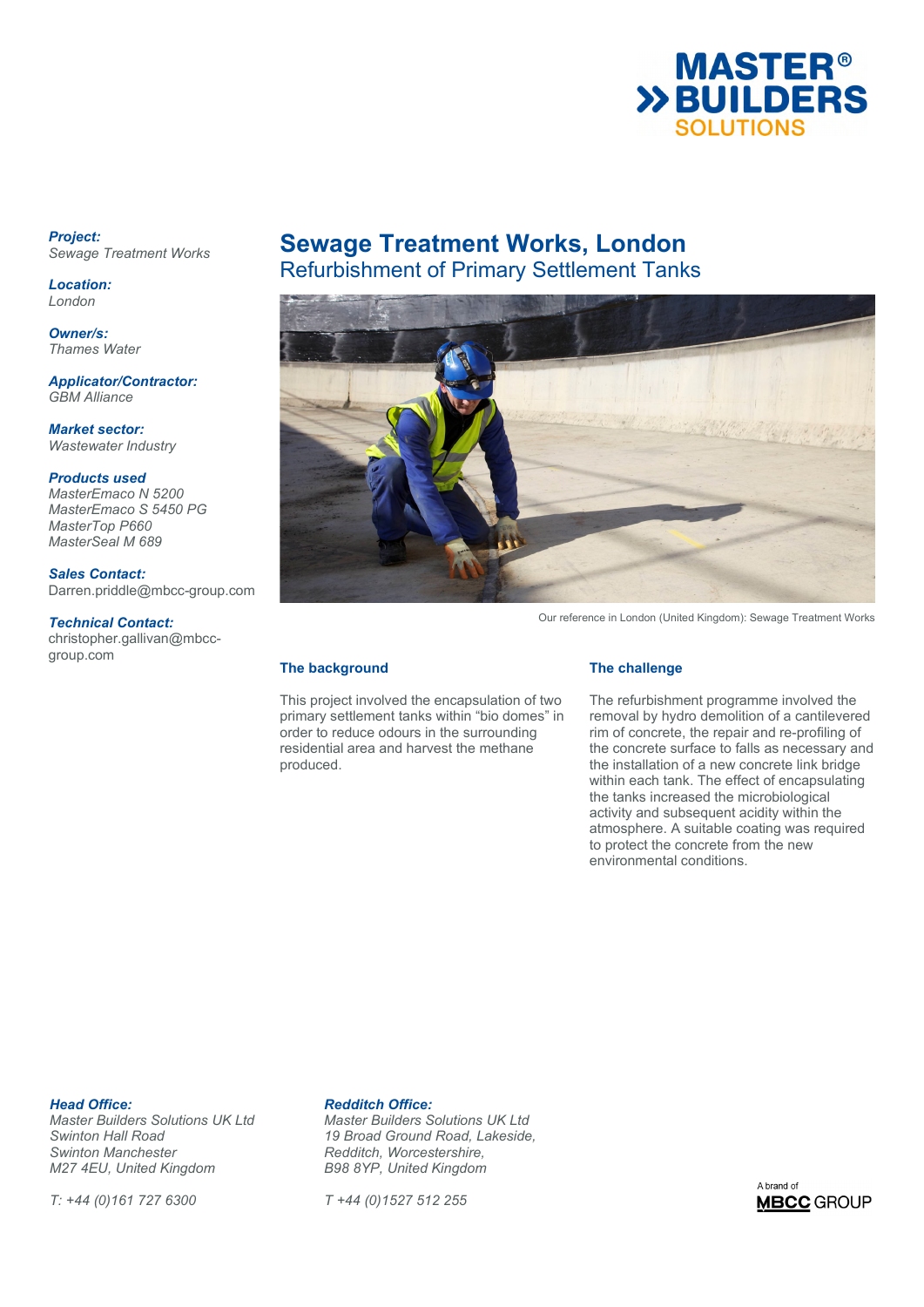

*Project: Sewage Treatment Works* 

*Location: London* 

*Owner/s: Thames Water* 

*Applicator/Contractor: GBM Alliance* 

*Market sector: Wastewater Industry* 

*Products used MasterEmaco N 5200 MasterEmaco S 5450 PG MasterTop P660 MasterSeal M 689* 

*Sales Contact:* 

Darren.priddle@mbcc-group.com

## *Technical Contact:*

christopher.gallivan@mbccgroup.com

# **Sewage Treatment Works, London**  Refurbishment of Primary Settlement Tanks



Our reference in London (United Kingdom): Sewage Treatment Works

# **The background**

This project involved the encapsulation of two primary settlement tanks within "bio domes" in order to reduce odours in the surrounding residential area and harvest the methane produced.

# **The challenge**

The refurbishment programme involved the removal by hydro demolition of a cantilevered rim of concrete, the repair and re-profiling of the concrete surface to falls as necessary and the installation of a new concrete link bridge within each tank. The effect of encapsulating the tanks increased the microbiological activity and subsequent acidity within the atmosphere. A suitable coating was required to protect the concrete from the new environmental conditions.

**Head Office: Redditch Office:**<br> *Master Builders Solutions UK Ltd* Master Builders S *Swinton Manchester Redditch, Worcestershire, M27 4EU, United Kingdom* 

*T: +44 (0)161 727 6300 T +44 (0)1527 512 255* 

*Master Builders Solutions UK Ltd Master Builders Solutions UK Ltd Swinton Hall Road 19 Broad Ground Road, Lakeside,* 

A brand of **MBCC** GROUP